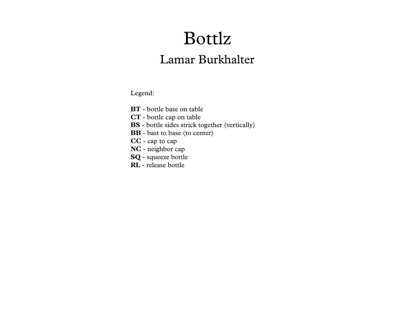## Bottlz

## Lamar Burkhalter

Legend:

- **BT** bottle base on table
- **CT** bottle cap on table
- **BS** bottle sides strick together (vertically)
- **BB** bast to base (to center)
- **CC** cap to cap
- **NC** neighbor cap
- **SQ** squeeze bottle
- **RL** release bottle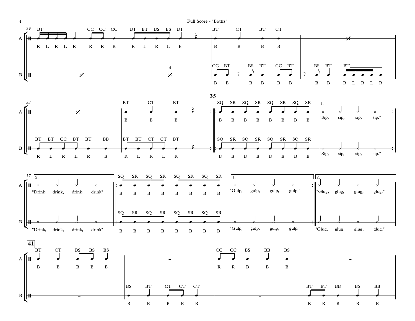